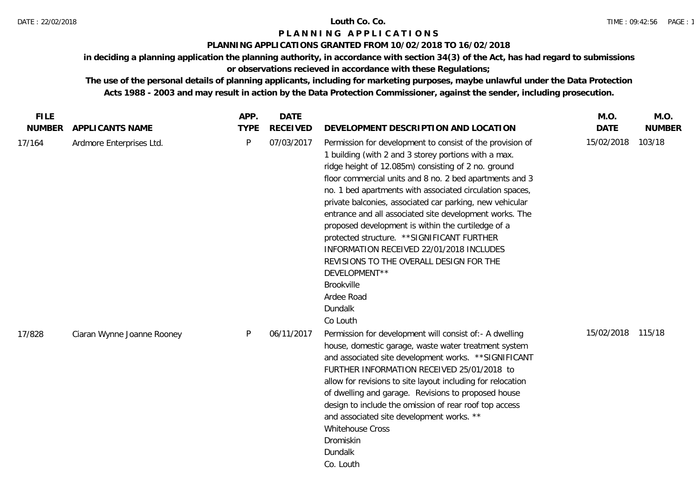### DATE : 22/02/2018 **Louth Co. Co.**

## **P L A N N I N G A P P L I C A T I O N S**

## **PLANNING APPLICATIONS GRANTED FROM 10/02/2018 TO 16/02/2018**

**in deciding a planning application the planning authority, in accordance with section 34(3) of the Act, has had regard to submissions** 

# **or observations recieved in accordance with these Regulations;**

| <b>FILE</b>   |                            | APP.        | <b>DATE</b>     |                                                                                                                                                                                                                                                                                                                                                                                                                                                                                                                                                                                                                                                                                        | M.O.        | M.O.          |
|---------------|----------------------------|-------------|-----------------|----------------------------------------------------------------------------------------------------------------------------------------------------------------------------------------------------------------------------------------------------------------------------------------------------------------------------------------------------------------------------------------------------------------------------------------------------------------------------------------------------------------------------------------------------------------------------------------------------------------------------------------------------------------------------------------|-------------|---------------|
| <b>NUMBER</b> | APPLICANTS NAME            | <b>TYPE</b> | <b>RECEIVED</b> | DEVELOPMENT DESCRIPTION AND LOCATION                                                                                                                                                                                                                                                                                                                                                                                                                                                                                                                                                                                                                                                   | <b>DATE</b> | <b>NUMBER</b> |
| 17/164        | Ardmore Enterprises Ltd.   | P           | 07/03/2017      | Permission for development to consist of the provision of<br>1 building (with 2 and 3 storey portions with a max.<br>ridge height of 12.085m) consisting of 2 no. ground<br>floor commercial units and 8 no. 2 bed apartments and 3<br>no. 1 bed apartments with associated circulation spaces,<br>private balconies, associated car parking, new vehicular<br>entrance and all associated site development works. The<br>proposed development is within the curtiledge of a<br>protected structure. ** SIGNIFICANT FURTHER<br>INFORMATION RECEIVED 22/01/2018 INCLUDES<br>REVISIONS TO THE OVERALL DESIGN FOR THE<br>DEVELOPMENT**<br>Brookville<br>Ardee Road<br>Dundalk<br>Co Louth | 15/02/2018  | 103/18        |
| 17/828        | Ciaran Wynne Joanne Rooney | P           | 06/11/2017      | Permission for development will consist of: - A dwelling<br>house, domestic garage, waste water treatment system<br>and associated site development works. ** SIGNIFICANT<br>FURTHER INFORMATION RECEIVED 25/01/2018 to<br>allow for revisions to site layout including for relocation<br>of dwelling and garage. Revisions to proposed house<br>design to include the omission of rear roof top access<br>and associated site development works. **<br>Whitehouse Cross<br>Dromiskin<br>Dundalk<br>Co. Louth                                                                                                                                                                          | 15/02/2018  | 115/18        |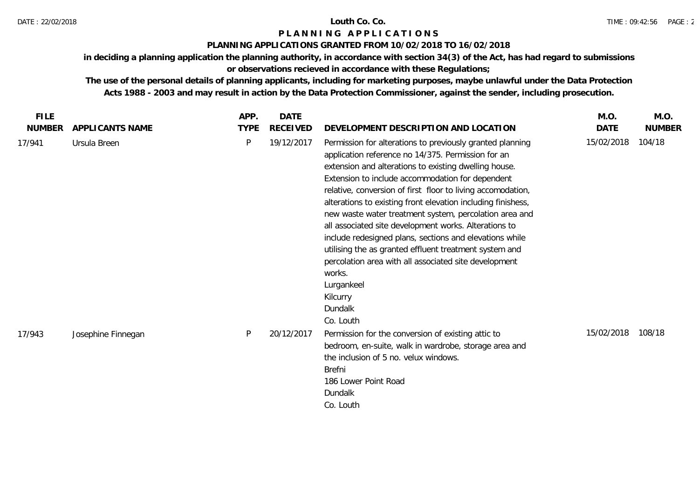## **PLANNING APPLICATIONS GRANTED FROM 10/02/2018 TO 16/02/2018**

**in deciding a planning application the planning authority, in accordance with section 34(3) of the Act, has had regard to submissions** 

# **or observations recieved in accordance with these Regulations;**

| <b>FILE</b>   |                    | APP.        | <b>DATE</b> |                                                                                                                                                                                                                                                                                                                                                                                                                                                                                                                                                                                                                                                                                                                          | M.O.       | M.O.          |
|---------------|--------------------|-------------|-------------|--------------------------------------------------------------------------------------------------------------------------------------------------------------------------------------------------------------------------------------------------------------------------------------------------------------------------------------------------------------------------------------------------------------------------------------------------------------------------------------------------------------------------------------------------------------------------------------------------------------------------------------------------------------------------------------------------------------------------|------------|---------------|
| <b>NUMBER</b> | APPLICANTS NAME    | <b>TYPE</b> | RECEIVED    | DEVELOPMENT DESCRIPTION AND LOCATION                                                                                                                                                                                                                                                                                                                                                                                                                                                                                                                                                                                                                                                                                     | DATE       | <b>NUMBER</b> |
| 17/941        | Ursula Breen       | P           | 19/12/2017  | Permission for alterations to previously granted planning<br>application reference no 14/375. Permission for an<br>extension and alterations to existing dwelling house.<br>Extension to include accommodation for dependent<br>relative, conversion of first floor to living accomodation,<br>alterations to existing front elevation including finishess,<br>new waste water treatment system, percolation area and<br>all associated site development works. Alterations to<br>include redesigned plans, sections and elevations while<br>utilising the as granted effluent treatment system and<br>percolation area with all associated site development<br>works.<br>Lurgankeel<br>Kilcurry<br>Dundalk<br>Co. Louth | 15/02/2018 | 104/18        |
| 17/943        | Josephine Finnegan | P           | 20/12/2017  | Permission for the conversion of existing attic to<br>bedroom, en-suite, walk in wardrobe, storage area and<br>the inclusion of 5 no. velux windows.<br><b>Brefni</b><br>186 Lower Point Road<br>Dundalk<br>Co. Louth                                                                                                                                                                                                                                                                                                                                                                                                                                                                                                    | 15/02/2018 | 108/18        |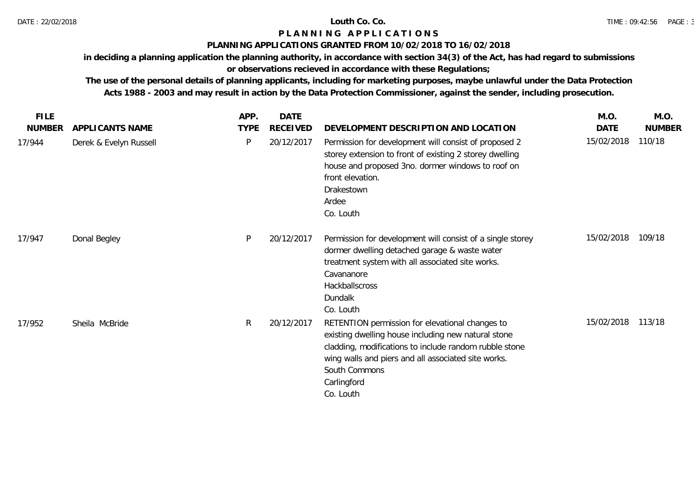## **PLANNING APPLICATIONS GRANTED FROM 10/02/2018 TO 16/02/2018**

**in deciding a planning application the planning authority, in accordance with section 34(3) of the Act, has had regard to submissions** 

# **or observations recieved in accordance with these Regulations;**

| <b>FILE</b>   |                        | APP.         | <b>DATE</b>     |                                                                                                                                                                                                                                                                      | M.O.       | M.O.          |
|---------------|------------------------|--------------|-----------------|----------------------------------------------------------------------------------------------------------------------------------------------------------------------------------------------------------------------------------------------------------------------|------------|---------------|
| <b>NUMBER</b> | APPLICANTS NAME        | <b>TYPE</b>  | <b>RECEIVED</b> | DEVELOPMENT DESCRIPTION AND LOCATION                                                                                                                                                                                                                                 | DATE       | <b>NUMBER</b> |
| 17/944        | Derek & Evelyn Russell | P            | 20/12/2017      | Permission for development will consist of proposed 2<br>storey extension to front of existing 2 storey dwelling<br>house and proposed 3no. dormer windows to roof on<br>front elevation.<br>Drakestown<br>Ardee<br>Co. Louth                                        | 15/02/2018 | 110/18        |
| 17/947        | Donal Begley           | P            | 20/12/2017      | Permission for development will consist of a single storey<br>dormer dwelling detached garage & waste water<br>treatment system with all associated site works.<br>Cavananore<br>Hackballscross<br>Dundalk<br>Co. Louth                                              | 15/02/2018 | 109/18        |
| 17/952        | Sheila McBride         | $\mathsf{R}$ | 20/12/2017      | RETENTION permission for elevational changes to<br>existing dwelling house including new natural stone<br>cladding, modifications to include random rubble stone<br>wing walls and piers and all associated site works.<br>South Commons<br>Carlingford<br>Co. Louth | 15/02/2018 | 113/18        |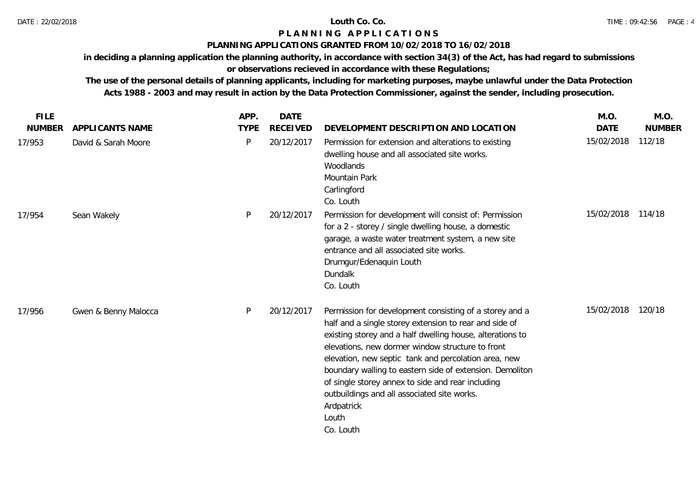## **PLANNING APPLICATIONS GRANTED FROM 10/02/2018 TO 16/02/2018**

**in deciding a planning application the planning authority, in accordance with section 34(3) of the Act, has had regard to submissions** 

# **or observations recieved in accordance with these Regulations;**

| <b>FILE</b>   |                      | APP.        | <b>DATE</b>     |                                                                                                                                                                                                                                                                                                                                                                                                                                                                                                | M.O.        | M.O.          |
|---------------|----------------------|-------------|-----------------|------------------------------------------------------------------------------------------------------------------------------------------------------------------------------------------------------------------------------------------------------------------------------------------------------------------------------------------------------------------------------------------------------------------------------------------------------------------------------------------------|-------------|---------------|
| <b>NUMBER</b> | APPLICANTS NAME      | <b>TYPE</b> | <b>RECEIVED</b> | DEVELOPMENT DESCRIPTION AND LOCATION                                                                                                                                                                                                                                                                                                                                                                                                                                                           | <b>DATE</b> | <b>NUMBER</b> |
| 17/953        | David & Sarah Moore  | P           | 20/12/2017      | Permission for extension and alterations to existing<br>dwelling house and all associated site works.<br>Woodlands<br>Mountain Park<br>Carlingford<br>Co. Louth                                                                                                                                                                                                                                                                                                                                | 15/02/2018  | 112/18        |
| 17/954        | Sean Wakely          | P           | 20/12/2017      | Permission for development will consist of: Permission<br>for a 2 - storey / single dwelling house, a domestic<br>garage, a waste water treatment system, a new site<br>entrance and all associated site works.<br>Drumgur/Edenaquin Louth<br>Dundalk<br>Co. Louth                                                                                                                                                                                                                             | 15/02/2018  | 114/18        |
| 17/956        | Gwen & Benny Malocca | P           | 20/12/2017      | Permission for development consisting of a storey and a<br>half and a single storey extension to rear and side of<br>existing storey and a half dwelling house, alterations to<br>elevations, new dormer window structure to front<br>elevation, new septic tank and percolation area, new<br>boundary walling to eastern side of extension. Demoliton<br>of single storey annex to side and rear including<br>outbuildings and all associated site works.<br>Ardpatrick<br>Louth<br>Co. Louth | 15/02/2018  | 120/18        |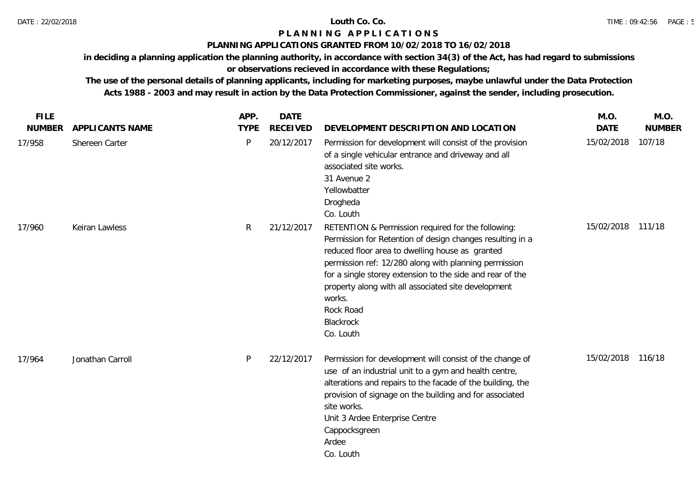### **PLANNING APPLICATIONS GRANTED FROM 10/02/2018 TO 16/02/2018**

**in deciding a planning application the planning authority, in accordance with section 34(3) of the Act, has had regard to submissions** 

# **or observations recieved in accordance with these Regulations;**

| <b>FILE</b>   |                  | APP.         | <b>DATE</b>     |                                                                                                                                                                                                                                                                                                                                                                                                  | M.O.        | M.O.          |
|---------------|------------------|--------------|-----------------|--------------------------------------------------------------------------------------------------------------------------------------------------------------------------------------------------------------------------------------------------------------------------------------------------------------------------------------------------------------------------------------------------|-------------|---------------|
| <b>NUMBER</b> | APPLICANTS NAME  | <b>TYPE</b>  | <b>RECEIVED</b> | DEVELOPMENT DESCRIPTION AND LOCATION                                                                                                                                                                                                                                                                                                                                                             | <b>DATE</b> | <b>NUMBER</b> |
| 17/958        | Shereen Carter   | $\mathsf{P}$ | 20/12/2017      | Permission for development will consist of the provision<br>of a single vehicular entrance and driveway and all<br>associated site works.<br>31 Avenue 2<br>Yellowbatter<br>Drogheda<br>Co. Louth                                                                                                                                                                                                | 15/02/2018  | 107/18        |
| 17/960        | Keiran Lawless   | R            | 21/12/2017      | RETENTION & Permission required for the following:<br>Permission for Retention of design changes resulting in a<br>reduced floor area to dwelling house as granted<br>permission ref: 12/280 along with planning permission<br>for a single storey extension to the side and rear of the<br>property along with all associated site development<br>works.<br>Rock Road<br>Blackrock<br>Co. Louth | 15/02/2018  | 111/18        |
| 17/964        | Jonathan Carroll | P            | 22/12/2017      | Permission for development will consist of the change of<br>use of an industrial unit to a gym and health centre,<br>alterations and repairs to the facade of the building, the<br>provision of signage on the building and for associated<br>site works.<br>Unit 3 Ardee Enterprise Centre<br>Cappocksgreen<br>Ardee<br>Co. Louth                                                               | 15/02/2018  | 116/18        |